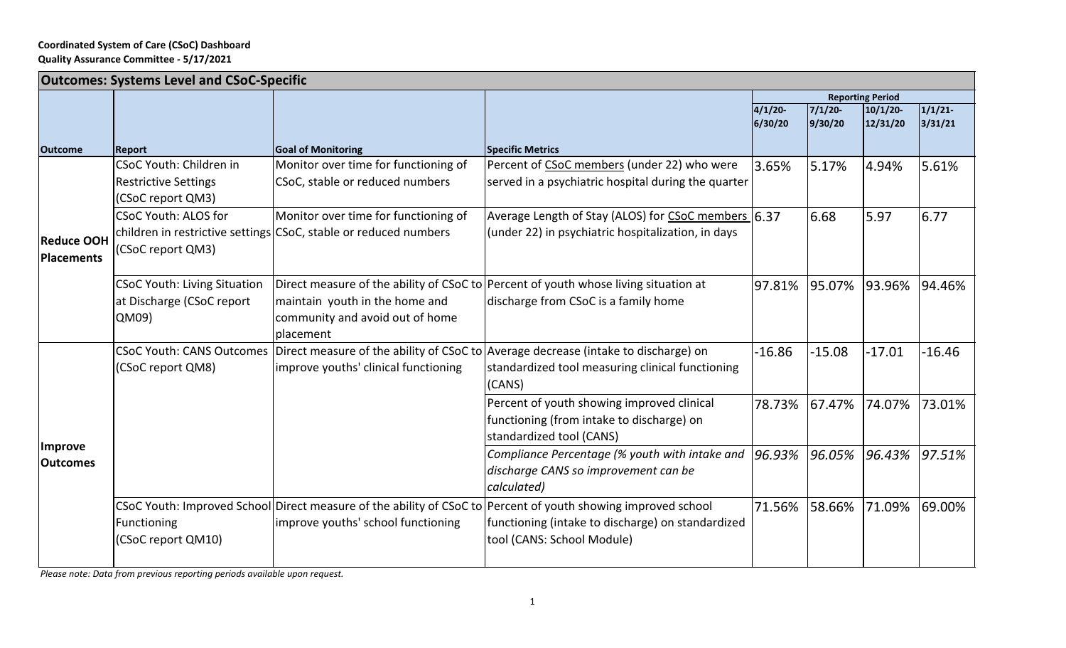## **Coordinated System of Care (CSoC) Dashboard Quality Assurance Committee ‐ 5/17/2021**

| <b>Outcomes: Systems Level and CSoC-Specific</b> |                                                                                    |                                                                                                          |                                                                                                                                                                                                  |                         |                       |                     |                   |  |  |
|--------------------------------------------------|------------------------------------------------------------------------------------|----------------------------------------------------------------------------------------------------------|--------------------------------------------------------------------------------------------------------------------------------------------------------------------------------------------------|-------------------------|-----------------------|---------------------|-------------------|--|--|
|                                                  |                                                                                    |                                                                                                          |                                                                                                                                                                                                  | <b>Reporting Period</b> |                       |                     |                   |  |  |
|                                                  |                                                                                    |                                                                                                          |                                                                                                                                                                                                  | $4/1/20$ -<br>6/30/20   | $7/1/20$ -<br>9/30/20 | 10/1/20<br>12/31/20 | 1/1/21<br>3/31/21 |  |  |
| <b>Outcome</b>                                   | <b>Report</b>                                                                      | <b>Goal of Monitoring</b>                                                                                | <b>Specific Metrics</b>                                                                                                                                                                          |                         |                       |                     |                   |  |  |
| <b>Reduce OOH</b><br><b>Placements</b>           | <b>CSoC Youth: Children in</b><br><b>Restrictive Settings</b><br>(CSoC report QM3) | Monitor over time for functioning of<br>CSoC, stable or reduced numbers                                  | Percent of CSoC members (under 22) who were<br>served in a psychiatric hospital during the quarter                                                                                               | 3.65%                   | 5.17%                 | 4.94%               | 5.61%             |  |  |
|                                                  | <b>CSoC Youth: ALOS for</b><br>(CSoC report QM3)                                   | Monitor over time for functioning of<br>children in restrictive settings CSoC, stable or reduced numbers | Average Length of Stay (ALOS) for CSoC members 6.37<br>(under 22) in psychiatric hospitalization, in days                                                                                        |                         | 6.68                  | 5.97                | 6.77              |  |  |
|                                                  | <b>CSoC Youth: Living Situation</b><br>at Discharge (CSoC report<br>QM09)          | maintain youth in the home and<br>community and avoid out of home<br>placement                           | Direct measure of the ability of CSoC to Percent of youth whose living situation at<br>discharge from CSoC is a family home                                                                      | 97.81%                  | 95.07%                | 93.96%              | 94.46%            |  |  |
| Improve<br><b>Outcomes</b>                       | (CSoC report QM8)                                                                  | improve youths' clinical functioning                                                                     | CSoC Youth: CANS Outcomes Direct measure of the ability of CSoC to Average decrease (intake to discharge) on<br>standardized tool measuring clinical functioning<br>(CANS)                       | $-16.86$                | $-15.08$              | $-17.01$            | $-16.46$          |  |  |
|                                                  |                                                                                    |                                                                                                          | Percent of youth showing improved clinical<br>functioning (from intake to discharge) on<br>standardized tool (CANS)                                                                              | 78.73% 67.47%           |                       | 74.07%              | 73.01%            |  |  |
|                                                  |                                                                                    |                                                                                                          | Compliance Percentage (% youth with intake and<br>discharge CANS so improvement can be<br>calculated)                                                                                            | 96.93%                  | 96.05%                | 96.43%              | 97.51%            |  |  |
|                                                  | Functioning<br>(CSoC report QM10)                                                  | improve youths' school functioning                                                                       | CSoC Youth: Improved School Direct measure of the ability of CSoC to Percent of youth showing improved school<br>functioning (intake to discharge) on standardized<br>tool (CANS: School Module) | 71.56%                  | 58.66%                | 71.09%              | 69.00%            |  |  |

*Please note: Data from previous reporting periods available upon request.*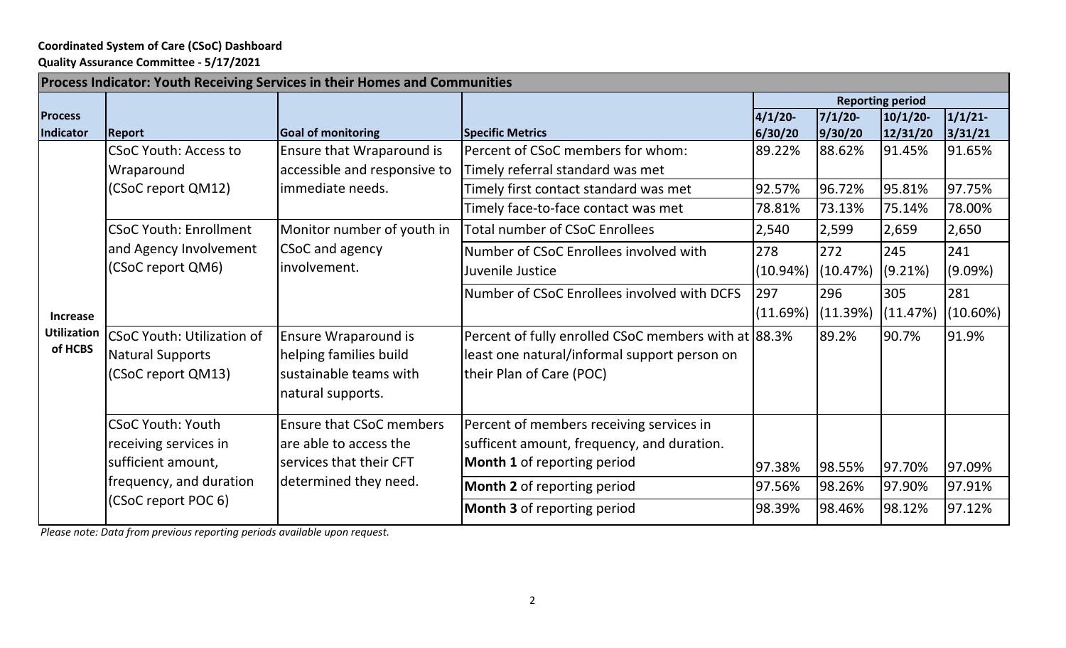## **Coordinated System of Care (CSoC) Dashboard**

**Quality Assurance Committee ‐ 5/17/2021**

| Process Indicator: Youth Receiving Services in their Homes and Communities |                                               |                                                  |                                                      |                         |          |          |             |  |  |  |
|----------------------------------------------------------------------------|-----------------------------------------------|--------------------------------------------------|------------------------------------------------------|-------------------------|----------|----------|-------------|--|--|--|
|                                                                            |                                               |                                                  |                                                      | <b>Reporting period</b> |          |          |             |  |  |  |
| <b>Process</b>                                                             |                                               |                                                  |                                                      | $4/1/20$ -              | 7/1/20   | 10/1/20  | 1/1/21      |  |  |  |
| Indicator                                                                  | <b>Report</b>                                 | <b>Goal of monitoring</b>                        | <b>Specific Metrics</b>                              | 6/30/20                 | 9/30/20  | 12/31/20 | 3/31/21     |  |  |  |
| <b>Increase</b><br><b>Utilization</b><br>of HCBS                           | <b>CSoC Youth: Access to</b>                  | Ensure that Wraparound is                        | Percent of CSoC members for whom:                    | 89.22%                  | 88.62%   | 91.45%   | 91.65%      |  |  |  |
|                                                                            | Wraparound                                    | accessible and responsive to<br>immediate needs. | Timely referral standard was met                     |                         |          |          |             |  |  |  |
|                                                                            | (CSoC report QM12)                            |                                                  | Timely first contact standard was met                | 92.57%                  | 96.72%   | 95.81%   | 97.75%      |  |  |  |
|                                                                            |                                               |                                                  | Timely face-to-face contact was met                  | 78.81%                  | 73.13%   | 75.14%   | 78.00%      |  |  |  |
|                                                                            | <b>CSoC Youth: Enrollment</b>                 | Monitor number of youth in                       | <b>Total number of CSoC Enrollees</b>                | 2,540                   | 2,599    | 2,659    | 2,650       |  |  |  |
|                                                                            | and Agency Involvement                        | CSoC and agency<br>involvement.                  | Number of CSoC Enrollees involved with               | 278                     | 272      | 245      | 241         |  |  |  |
|                                                                            | (CSoC report QM6)                             |                                                  | Juvenile Justice                                     | (10.94%)                | (10.47%) | (9.21%)  | (9.09%)     |  |  |  |
|                                                                            |                                               |                                                  | Number of CSoC Enrollees involved with DCFS          | 297                     | 296      | 305      | 281         |  |  |  |
|                                                                            |                                               |                                                  |                                                      | (11.69%)                | (11.39%) | (11.47%) | $(10.60\%)$ |  |  |  |
|                                                                            | <b>CSoC Youth: Utilization of</b>             | Ensure Wraparound is                             | Percent of fully enrolled CSoC members with at 88.3% |                         | 89.2%    | 90.7%    | 91.9%       |  |  |  |
|                                                                            | <b>Natural Supports</b>                       | helping families build                           | least one natural/informal support person on         |                         |          |          |             |  |  |  |
|                                                                            | (CSoC report QM13)                            | sustainable teams with                           | their Plan of Care (POC)                             |                         |          |          |             |  |  |  |
|                                                                            | natural supports.                             |                                                  |                                                      |                         |          |          |             |  |  |  |
|                                                                            | <b>CSoC Youth: Youth</b>                      | <b>Ensure that CSoC members</b>                  | Percent of members receiving services in             |                         |          |          |             |  |  |  |
|                                                                            | receiving services in                         | are able to access the                           | sufficent amount, frequency, and duration.           |                         |          |          |             |  |  |  |
|                                                                            | sufficient amount,<br>services that their CFT |                                                  | Month 1 of reporting period                          |                         |          |          |             |  |  |  |
|                                                                            | frequency, and duration                       | determined they need.                            |                                                      | 97.38%                  | 98.55%   | 97.70%   | 97.09%      |  |  |  |
|                                                                            |                                               |                                                  | Month 2 of reporting period                          | 97.56%                  | 98.26%   | 97.90%   | 97.91%      |  |  |  |
|                                                                            | (CSoC report POC 6)                           |                                                  | Month 3 of reporting period                          | 98.39%                  | 98.46%   | 98.12%   | 97.12%      |  |  |  |

*Please note: Data from previous reporting periods available upon request.*